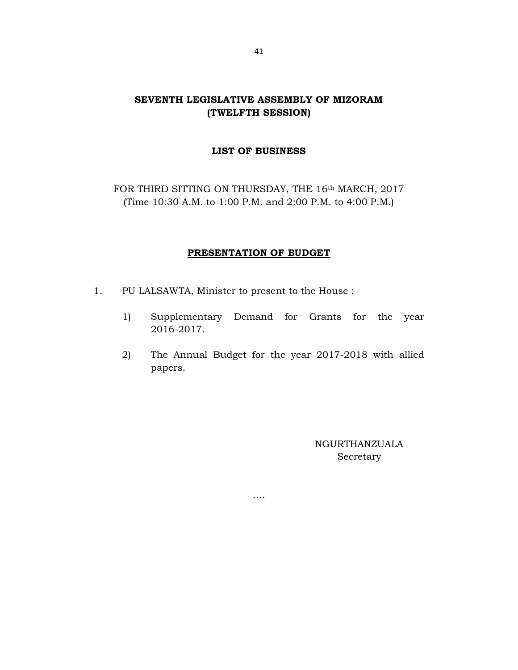# SEVENTH LEGISLATIVE ASSEMBLY OF MIZORAM (TWELFTH SESSION)

# LIST OF BUSINESS

FOR THIRD SITTING ON THURSDAY, THE 16<sup>th</sup> MARCH, 2017 (Time 10:30 A.M. to 1:00 P.M. and 2:00 P.M. to 4:00 P.M.)

## PRESENTATION OF BUDGET

- 1. PU LALSAWTA, Minister to present to the House :
	- 1) Supplementary Demand for Grants for the year 2016-2017.
	- 2) The Annual Budget for the year 2017-2018 with allied papers.

….

NGURTHANZUALA Secretary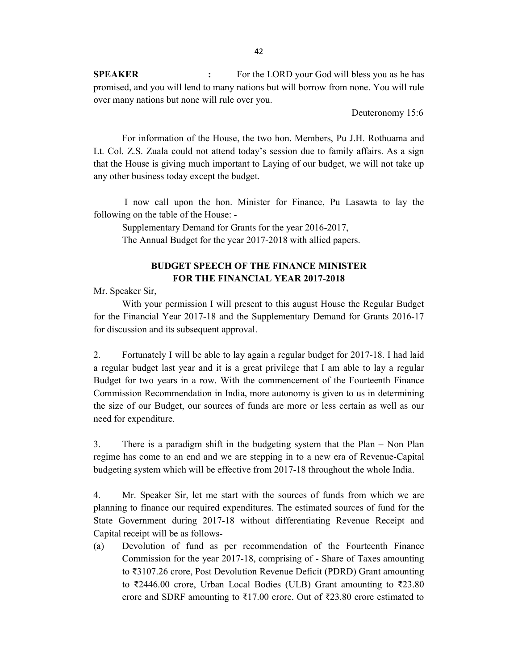SPEAKER : For the LORD your God will bless you as he has promised, and you will lend to many nations but will borrow from none. You will rule over many nations but none will rule over you.

Deuteronomy 15:6

 For information of the House, the two hon. Members, Pu J.H. Rothuama and Lt. Col. Z.S. Zuala could not attend today's session due to family affairs. As a sign that the House is giving much important to Laying of our budget, we will not take up any other business today except the budget.

 I now call upon the hon. Minister for Finance, Pu Lasawta to lay the following on the table of the House: -

Supplementary Demand for Grants for the year 2016-2017,

The Annual Budget for the year 2017-2018 with allied papers.

# BUDGET SPEECH OF THE FINANCE MINISTER FOR THE FINANCIAL YEAR 2017-2018

Mr. Speaker Sir,

 With your permission I will present to this august House the Regular Budget for the Financial Year 2017-18 and the Supplementary Demand for Grants 2016-17 for discussion and its subsequent approval.

2. Fortunately I will be able to lay again a regular budget for 2017-18. I had laid a regular budget last year and it is a great privilege that I am able to lay a regular Budget for two years in a row. With the commencement of the Fourteenth Finance Commission Recommendation in India, more autonomy is given to us in determining the size of our Budget, our sources of funds are more or less certain as well as our need for expenditure.

3. There is a paradigm shift in the budgeting system that the Plan – Non Plan regime has come to an end and we are stepping in to a new era of Revenue-Capital budgeting system which will be effective from 2017-18 throughout the whole India.

4. Mr. Speaker Sir, let me start with the sources of funds from which we are planning to finance our required expenditures. The estimated sources of fund for the State Government during 2017-18 without differentiating Revenue Receipt and Capital receipt will be as follows-

(a) Devolution of fund as per recommendation of the Fourteenth Finance Commission for the year 2017-18, comprising of - Share of Taxes amounting to ₹3107.26 crore, Post Devolution Revenue Deficit (PDRD) Grant amounting to ₹2446.00 crore, Urban Local Bodies (ULB) Grant amounting to ₹23.80 crore and SDRF amounting to ₹17.00 crore. Out of ₹23.80 crore estimated to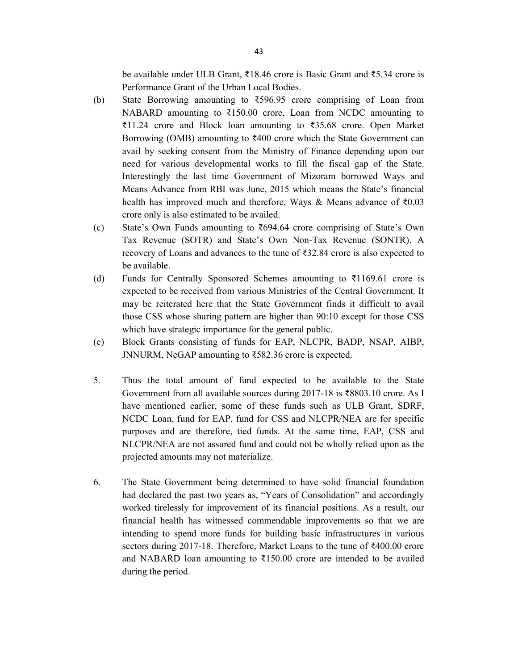be available under ULB Grant, ₹18.46 crore is Basic Grant and ₹5.34 crore is Performance Grant of the Urban Local Bodies.

- (b) State Borrowing amounting to  $\overline{5596.95}$  crore comprising of Loan from NABARD amounting to ₹150.00 crore, Loan from NCDC amounting to ₹11.24 crore and Block loan amounting to ₹35.68 crore. Open Market Borrowing (OMB) amounting to  $\bar{\xi}400$  crore which the State Government can avail by seeking consent from the Ministry of Finance depending upon our need for various developmental works to fill the fiscal gap of the State. Interestingly the last time Government of Mizoram borrowed Ways and Means Advance from RBI was June, 2015 which means the State's financial health has improved much and therefore, Ways & Means advance of ₹0.03 crore only is also estimated to be availed.
- (c) State's Own Funds amounting to  $\overline{694.64}$  crore comprising of State's Own Tax Revenue (SOTR) and State's Own Non-Tax Revenue (SONTR). A recovery of Loans and advances to the tune of ₹32.84 crore is also expected to be available.
- (d) Funds for Centrally Sponsored Schemes amounting to  $\overline{\xi}1169.61$  crore is expected to be received from various Ministries of the Central Government. It may be reiterated here that the State Government finds it difficult to avail those CSS whose sharing pattern are higher than 90:10 except for those CSS which have strategic importance for the general public.
- (e) Block Grants consisting of funds for EAP, NLCPR, BADP, NSAP, AIBP, JNNURM, NeGAP amounting to ₹582.36 crore is expected.
- 5. Thus the total amount of fund expected to be available to the State Government from all available sources during 2017-18 is ₹8803.10 crore. As I have mentioned earlier, some of these funds such as ULB Grant, SDRF, NCDC Loan, fund for EAP, fund for CSS and NLCPR/NEA are for specific purposes and are therefore, tied funds. At the same time, EAP, CSS and NLCPR/NEA are not assured fund and could not be wholly relied upon as the projected amounts may not materialize.
- 6. The State Government being determined to have solid financial foundation had declared the past two years as, "Years of Consolidation" and accordingly worked tirelessly for improvement of its financial positions. As a result, our financial health has witnessed commendable improvements so that we are intending to spend more funds for building basic infrastructures in various sectors during 2017-18. Therefore, Market Loans to the tune of ₹400.00 crore and NABARD loan amounting to ₹150.00 crore are intended to be availed during the period.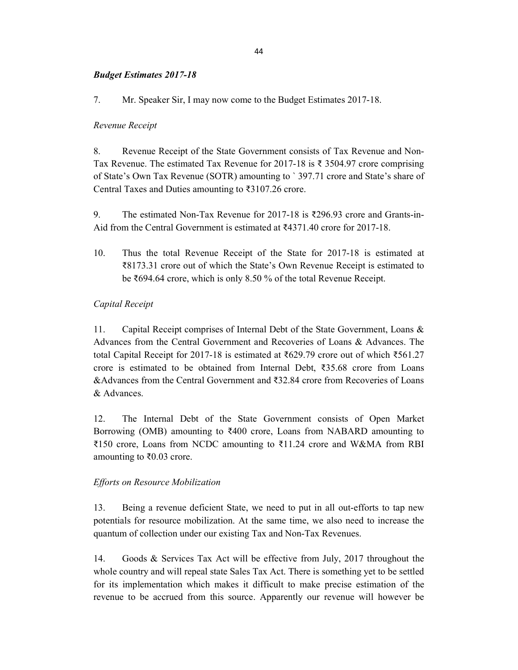## Budget Estimates 2017-18

7. Mr. Speaker Sir, I may now come to the Budget Estimates 2017-18.

### Revenue Receipt

8. Revenue Receipt of the State Government consists of Tax Revenue and Non-Tax Revenue. The estimated Tax Revenue for 2017-18 is  $\bar{\xi}$  3504.97 crore comprising of State's Own Tax Revenue (SOTR) amounting to ` 397.71 crore and State's share of Central Taxes and Duties amounting to ₹3107.26 crore.

9. The estimated Non-Tax Revenue for 2017-18 is ₹296.93 crore and Grants-in-Aid from the Central Government is estimated at  $\text{\textdegree{3}}4371.40$  crore for 2017-18.

10. Thus the total Revenue Receipt of the State for 2017-18 is estimated at ₹8173.31 crore out of which the State's Own Revenue Receipt is estimated to be ₹694.64 crore, which is only 8.50 % of the total Revenue Receipt.

## Capital Receipt

11. Capital Receipt comprises of Internal Debt of the State Government, Loans & Advances from the Central Government and Recoveries of Loans & Advances. The total Capital Receipt for 2017-18 is estimated at ₹629.79 crore out of which ₹561.27 crore is estimated to be obtained from Internal Debt, ₹35.68 crore from Loans &Advances from the Central Government and ₹32.84 crore from Recoveries of Loans & Advances.

12. The Internal Debt of the State Government consists of Open Market Borrowing (OMB) amounting to  $\bar{x}400$  crore, Loans from NABARD amounting to ₹150 crore, Loans from NCDC amounting to ₹11.24 crore and W&MA from RBI amounting to ₹0.03 crore.

#### Efforts on Resource Mobilization

13. Being a revenue deficient State, we need to put in all out-efforts to tap new potentials for resource mobilization. At the same time, we also need to increase the quantum of collection under our existing Tax and Non-Tax Revenues.

14. Goods & Services Tax Act will be effective from July, 2017 throughout the whole country and will repeal state Sales Tax Act. There is something yet to be settled for its implementation which makes it difficult to make precise estimation of the revenue to be accrued from this source. Apparently our revenue will however be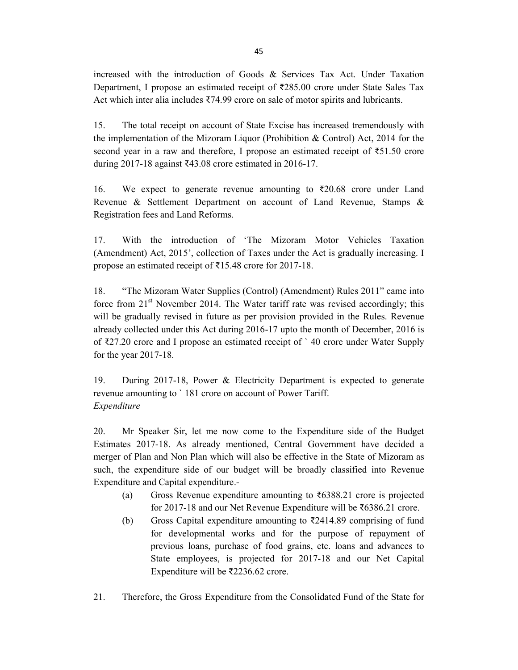increased with the introduction of Goods & Services Tax Act. Under Taxation Department, I propose an estimated receipt of ₹285.00 crore under State Sales Tax Act which inter alia includes ₹74.99 crore on sale of motor spirits and lubricants.

15. The total receipt on account of State Excise has increased tremendously with the implementation of the Mizoram Liquor (Prohibition & Control) Act, 2014 for the second year in a raw and therefore, I propose an estimated receipt of ₹51.50 crore during 2017-18 against ₹43.08 crore estimated in 2016-17.

16. We expect to generate revenue amounting to ₹20.68 crore under Land Revenue & Settlement Department on account of Land Revenue, Stamps & Registration fees and Land Reforms.

17. With the introduction of 'The Mizoram Motor Vehicles Taxation (Amendment) Act, 2015', collection of Taxes under the Act is gradually increasing. I propose an estimated receipt of ₹15.48 crore for 2017-18.

18. "The Mizoram Water Supplies (Control) (Amendment) Rules 2011" came into force from  $21<sup>st</sup>$  November 2014. The Water tariff rate was revised accordingly; this will be gradually revised in future as per provision provided in the Rules. Revenue already collected under this Act during 2016-17 upto the month of December, 2016 is of ₹27.20 crore and I propose an estimated receipt of ` 40 crore under Water Supply for the year 2017-18.

19. During 2017-18, Power & Electricity Department is expected to generate revenue amounting to ` 181 crore on account of Power Tariff. Expenditure

20. Mr Speaker Sir, let me now come to the Expenditure side of the Budget Estimates 2017-18. As already mentioned, Central Government have decided a merger of Plan and Non Plan which will also be effective in the State of Mizoram as such, the expenditure side of our budget will be broadly classified into Revenue Expenditure and Capital expenditure.-

- (a) Gross Revenue expenditure amounting to  $\overline{\text{56388.21}}$  crore is projected for 2017-18 and our Net Revenue Expenditure will be ₹6386.21 crore.
- (b) Gross Capital expenditure amounting to  $\overline{\xi}$ 2414.89 comprising of fund for developmental works and for the purpose of repayment of previous loans, purchase of food grains, etc. loans and advances to State employees, is projected for 2017-18 and our Net Capital Expenditure will be ₹2236.62 crore.
- 21. Therefore, the Gross Expenditure from the Consolidated Fund of the State for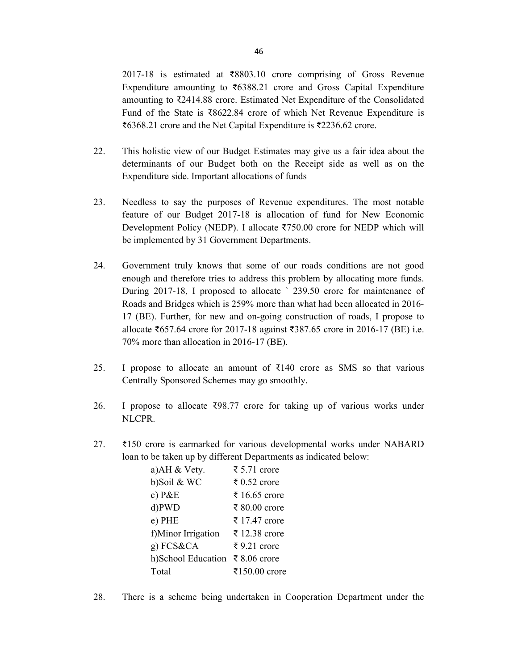2017-18 is estimated at ₹8803.10 crore comprising of Gross Revenue Expenditure amounting to ₹6388.21 crore and Gross Capital Expenditure amounting to ₹2414.88 crore. Estimated Net Expenditure of the Consolidated Fund of the State is ₹8622.84 crore of which Net Revenue Expenditure is ₹6368.21 crore and the Net Capital Expenditure is ₹2236.62 crore.

- 22. This holistic view of our Budget Estimates may give us a fair idea about the determinants of our Budget both on the Receipt side as well as on the Expenditure side. Important allocations of funds
- 23. Needless to say the purposes of Revenue expenditures. The most notable feature of our Budget 2017-18 is allocation of fund for New Economic Development Policy (NEDP). I allocate ₹750.00 crore for NEDP which will be implemented by 31 Government Departments.
- 24. Government truly knows that some of our roads conditions are not good enough and therefore tries to address this problem by allocating more funds. During 2017-18, I proposed to allocate ` 239.50 crore for maintenance of Roads and Bridges which is 259% more than what had been allocated in 2016- 17 (BE). Further, for new and on-going construction of roads, I propose to allocate ₹657.64 crore for 2017-18 against ₹387.65 crore in 2016-17 (BE) i.e. 70% more than allocation in 2016-17 (BE).
- 25. I propose to allocate an amount of  $\bar{\tau}$ 140 crore as SMS so that various Centrally Sponsored Schemes may go smoothly.
- 26. I propose to allocate  $\overline{3}98.77$  crore for taking up of various works under NLCPR.
- 27. ₹150 crore is earmarked for various developmental works under NABARD loan to be taken up by different Departments as indicated below:

| a)AH & Vety.       | ₹ 5.71 crore  |
|--------------------|---------------|
| b)Soil & WC        | ₹ 0.52 crore  |
| c) $P&E$           | ₹ 16.65 crore |
| d)PWD              | ₹ 80.00 crore |
| e) PHE             | ₹ 17.47 crore |
| f)Minor Irrigation | ₹ 12.38 crore |
| g) FCS&CA          | ₹9.21 crore   |
| h)School Education | ₹ 8.06 crore  |
| Total              | ₹150.00 crore |

28. There is a scheme being undertaken in Cooperation Department under the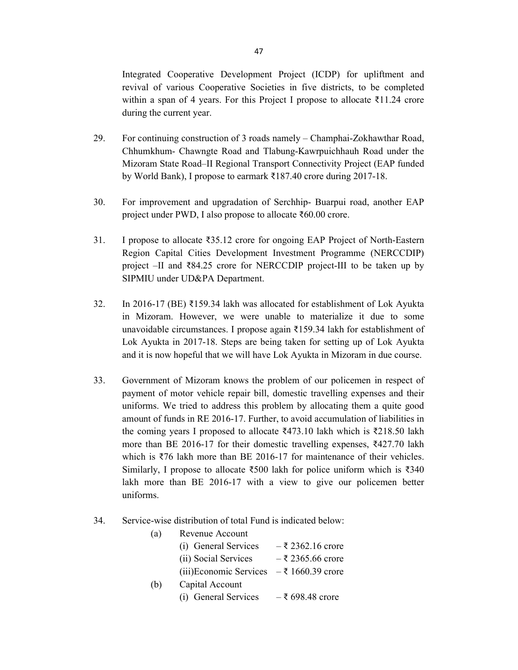Integrated Cooperative Development Project (ICDP) for upliftment and revival of various Cooperative Societies in five districts, to be completed within a span of 4 years. For this Project I propose to allocate ₹11.24 crore during the current year.

- 29. For continuing construction of 3 roads namely Champhai-Zokhawthar Road, Chhumkhum- Chawngte Road and Tlabung-Kawrpuichhauh Road under the Mizoram State Road–II Regional Transport Connectivity Project (EAP funded by World Bank), I propose to earmark ₹187.40 crore during 2017-18.
- 30. For improvement and upgradation of Serchhip- Buarpui road, another EAP project under PWD, I also propose to allocate ₹60.00 crore.
- 31. I propose to allocate ₹35.12 crore for ongoing EAP Project of North-Eastern Region Capital Cities Development Investment Programme (NERCCDIP) project –II and ₹84.25 crore for NERCCDIP project-III to be taken up by SIPMIU under UD&PA Department.
- 32. In 2016-17 (BE) ₹159.34 lakh was allocated for establishment of Lok Ayukta in Mizoram. However, we were unable to materialize it due to some unavoidable circumstances. I propose again ₹159.34 lakh for establishment of Lok Ayukta in 2017-18. Steps are being taken for setting up of Lok Ayukta and it is now hopeful that we will have Lok Ayukta in Mizoram in due course.
- 33. Government of Mizoram knows the problem of our policemen in respect of payment of motor vehicle repair bill, domestic travelling expenses and their uniforms. We tried to address this problem by allocating them a quite good amount of funds in RE 2016-17. Further, to avoid accumulation of liabilities in the coming years I proposed to allocate ₹473.10 lakh which is ₹218.50 lakh more than BE 2016-17 for their domestic travelling expenses, ₹427.70 lakh which is ₹76 lakh more than BE 2016-17 for maintenance of their vehicles. Similarly, I propose to allocate ₹500 lakh for police uniform which is ₹340 lakh more than BE 2016-17 with a view to give our policemen better uniforms.
- 34. Service-wise distribution of total Fund is indicated below:

| (a) | Revenue Account                                   |                      |
|-----|---------------------------------------------------|----------------------|
|     | (i) General Services                              | $-\xi$ 2362.16 crore |
|     | (ii) Social Services                              | $-\xi$ 2365.66 crore |
|     | (iii)Economic Services $-\bar{\xi}$ 1660.39 crore |                      |
| (b) | Capital Account                                   |                      |
|     | (i) General Services                              | $-5,698.48$ crore    |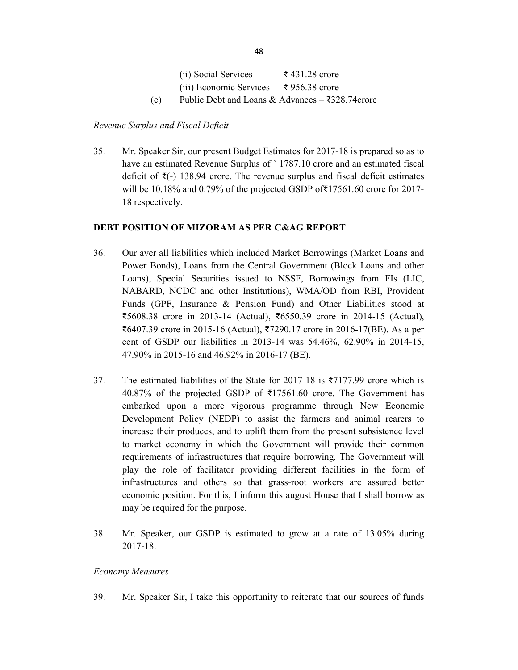(ii) Social Services –  $\overline{\xi}$  431.28 crore (iii) Economic Services  $-\xi$  956.38 crore (c) Public Debt and Loans & Advances –  $\text{\textdegree{328.74}}$  acrore

## Revenue Surplus and Fiscal Deficit

35. Mr. Speaker Sir, our present Budget Estimates for 2017-18 is prepared so as to have an estimated Revenue Surplus of `1787.10 crore and an estimated fiscal deficit of ₹(-) 138.94 crore. The revenue surplus and fiscal deficit estimates will be 10.18% and 0.79% of the projected GSDP of₹17561.60 crore for 2017- 18 respectively.

## DEBT POSITION OF MIZORAM AS PER C&AG REPORT

- 36. Our aver all liabilities which included Market Borrowings (Market Loans and Power Bonds), Loans from the Central Government (Block Loans and other Loans), Special Securities issued to NSSF, Borrowings from FIs (LIC, NABARD, NCDC and other Institutions), WMA/OD from RBI, Provident Funds (GPF, Insurance & Pension Fund) and Other Liabilities stood at ₹5608.38 crore in 2013-14 (Actual), ₹6550.39 crore in 2014-15 (Actual), ₹6407.39 crore in 2015-16 (Actual), ₹7290.17 crore in 2016-17(BE). As a per cent of GSDP our liabilities in 2013-14 was 54.46%, 62.90% in 2014-15, 47.90% in 2015-16 and 46.92% in 2016-17 (BE).
- 37. The estimated liabilities of the State for 2017-18 is ₹7177.99 crore which is 40.87% of the projected GSDP of ₹17561.60 crore. The Government has embarked upon a more vigorous programme through New Economic Development Policy (NEDP) to assist the farmers and animal rearers to increase their produces, and to uplift them from the present subsistence level to market economy in which the Government will provide their common requirements of infrastructures that require borrowing. The Government will play the role of facilitator providing different facilities in the form of infrastructures and others so that grass-root workers are assured better economic position. For this, I inform this august House that I shall borrow as may be required for the purpose.
- 38. Mr. Speaker, our GSDP is estimated to grow at a rate of 13.05% during 2017-18.

#### Economy Measures

39. Mr. Speaker Sir, I take this opportunity to reiterate that our sources of funds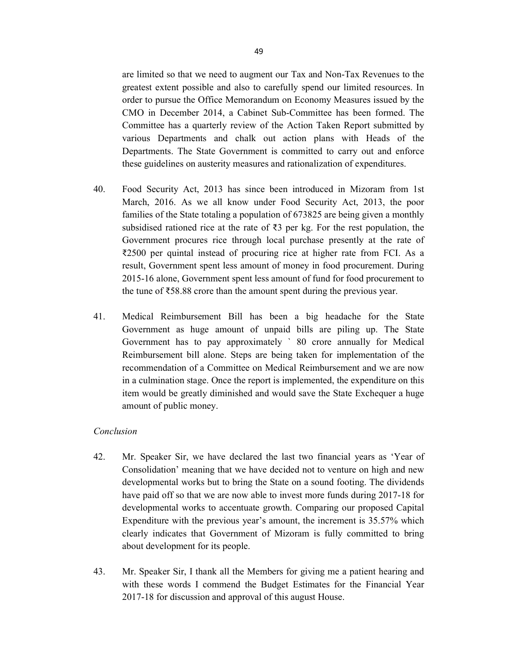are limited so that we need to augment our Tax and Non-Tax Revenues to the greatest extent possible and also to carefully spend our limited resources. In order to pursue the Office Memorandum on Economy Measures issued by the CMO in December 2014, a Cabinet Sub-Committee has been formed. The Committee has a quarterly review of the Action Taken Report submitted by various Departments and chalk out action plans with Heads of the Departments. The State Government is committed to carry out and enforce these guidelines on austerity measures and rationalization of expenditures.

- 40. Food Security Act, 2013 has since been introduced in Mizoram from 1st March, 2016. As we all know under Food Security Act, 2013, the poor families of the State totaling a population of 673825 are being given a monthly subsidised rationed rice at the rate of  $\bar{\tau}$ 3 per kg. For the rest population, the Government procures rice through local purchase presently at the rate of ₹2500 per quintal instead of procuring rice at higher rate from FCI. As a result, Government spent less amount of money in food procurement. During 2015-16 alone, Government spent less amount of fund for food procurement to the tune of ₹58.88 crore than the amount spent during the previous year.
- 41. Medical Reimbursement Bill has been a big headache for the State Government as huge amount of unpaid bills are piling up. The State Government has to pay approximately ` 80 crore annually for Medical Reimbursement bill alone. Steps are being taken for implementation of the recommendation of a Committee on Medical Reimbursement and we are now in a culmination stage. Once the report is implemented, the expenditure on this item would be greatly diminished and would save the State Exchequer a huge amount of public money.

#### Conclusion

- 42. Mr. Speaker Sir, we have declared the last two financial years as 'Year of Consolidation' meaning that we have decided not to venture on high and new developmental works but to bring the State on a sound footing. The dividends have paid off so that we are now able to invest more funds during 2017-18 for developmental works to accentuate growth. Comparing our proposed Capital Expenditure with the previous year's amount, the increment is 35.57% which clearly indicates that Government of Mizoram is fully committed to bring about development for its people.
- 43. Mr. Speaker Sir, I thank all the Members for giving me a patient hearing and with these words I commend the Budget Estimates for the Financial Year 2017-18 for discussion and approval of this august House.